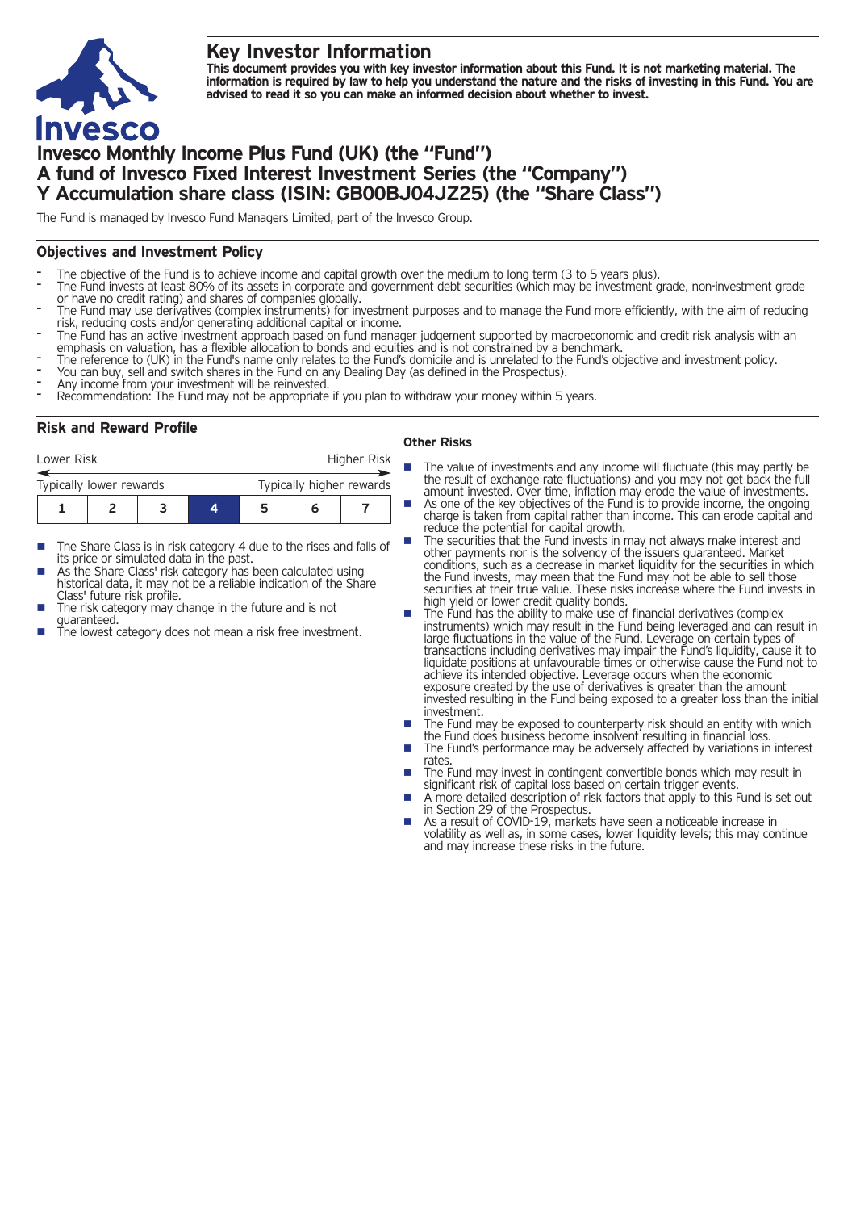## **Key Investor Information**



This document provides you with key investor information about this Fund. It is not marketing material. The information is required by law to help you understand the nature and the risks of investing in this Fund. You are **advised to read it so you can make an informed decision about whether to invest.**

# **Invesco Monthly Income Plus Fund (UK) (the "Fund") A fund of Invesco Fixed Interest Investment Series (the "Company") Y Accumulation share class (ISIN: GB00BJ04JZ25) (the "Share Class")**

The Fund is managed by Invesco Fund Managers Limited, part of the Invesco Group.

## **Objectives and Investment Policy**

- 
- The objective of the Fund is to achieve income and capital growth over the medium to long term (3 to 5 years plus).<br>The Fund invests at least 80% of its assets in corporate and government debt securities (which may be inve
- The Fund may use derivatives (complex instruments) for investment purposes and to manage the Fund more efficiently, with the aim of reducing<br>risk, reducing costs and/or generating additional capital or income.
- The Fund has an active investment approach based on fund manager judgement supported by macroeconomic and credit risk analysis with an re run in as a receive investment approach to bonds and equities and is not constrained by a benchmark.<br>The reference to (UK) in the Fund's name only relates to the Fund's domicile and is unrelated to the Fund's objective
- 
- 

## **Risk and Reward Profile**

| Lower Risk              |  |  |  | Higher Risk              |  |  |
|-------------------------|--|--|--|--------------------------|--|--|
| Typically lower rewards |  |  |  | Typically higher rewards |  |  |
|                         |  |  |  | 5                        |  |  |

- The Share Class is in risk category 4 due to the rises and falls of its price or simulated data in the past.
- As the Share Class' risk category has been calculated using historical data, it may not be a reliable indication of the Share<br>Class' future risk profile.
- The risk category may change in the future and is not quaranteed.
- The lowest category does not mean a risk free investment.

#### **Other Risks**

- $\blacksquare$  The value of investments and any income will fluctuate (this may partly be the result of exchange rate fluctuations) and you may not get back the full amount invested. Over time, inflation may erode the value of investments.
	- As one of the key objectives of the Fund is to provide income, the ongoing charge is taken from capital rather than income. This can erode capital and reduce the potential for capital growth.
	- The securities that the Fund invests in may not always make interest and other payments nor is the solvency of the issuers guaranteed. Market conditions, such as a decrease in market liquidity for the securities in which the Fund invests, may mean that the Fund may not be able to sell those securities at their true value. These risks increase where the Fund invests in high yield or lower credit quality bonds.
- high yield or lower credit quality correct of financial derivatives (complex The Fund has the ability to make use of financial derivatives (complex instruments) which may result in the Fund being leveraged and can result in large fluctuations in the value of the Fund. Leverage on certain types of transactions including derivatives may impair the Fund's liquidity, cause it to liquidate positions at unfavourable times or otherwise cause the Fund not to achieve its intended objective. Leverage occurs when the economic exposure created by the use of derivatives is greater than the amount invested resulting in the Fund being exposed to a greater loss than the initial
- The Fund may be exposed to counterparty risk should an entity with which the Fund does business become insolvent resulting in financial loss.
- The Fund's performance may be adversely affected by variations in interest rates.
- The Fund may invest in contingent convertible bonds which may result in significant risk of capital loss based on certain trigger events.
- A more detailed description of risk factors that apply to this Fund is set out in Section 29 of the Prospectus.
- As a result of COVID-19, markets have seen a noticeable increase in volatility as well as, in some cases, lower liquidity levels; this may continue and may increase these risks in the future.